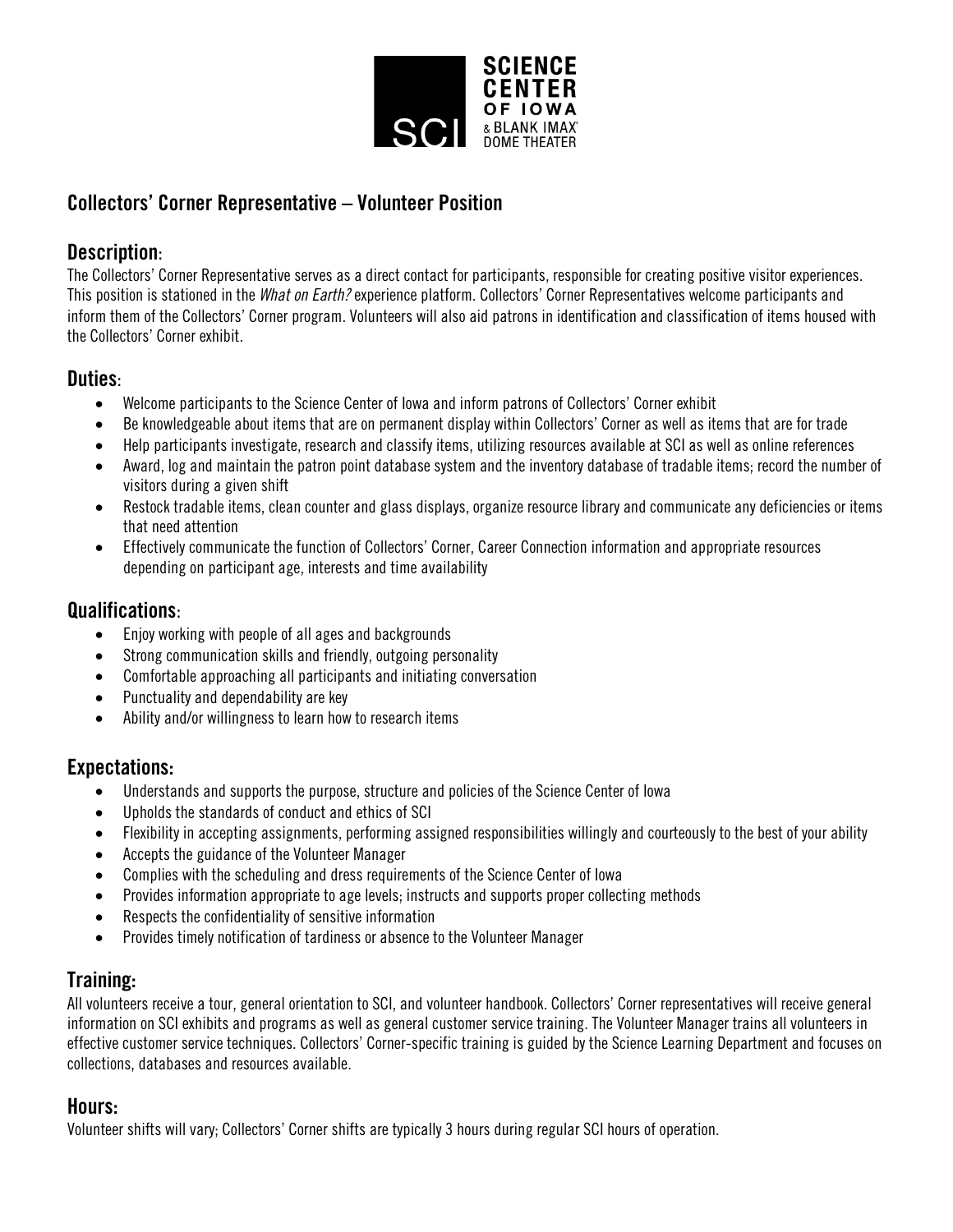

# Collectors' Corner Representative – Volunteer Position

### Description:

The Collectors' Corner Representative serves as a direct contact for participants, responsible for creating positive visitor experiences. This position is stationed in the *What on Earth?* experience platform. Collectors' Corner Representatives welcome participants and inform them of the Collectors' Corner program. Volunteers will also aid patrons in identification and classification of items housed with the Collectors' Corner exhibit.

### Duties:

- Welcome participants to the Science Center of Iowa and inform patrons of Collectors' Corner exhibit
- Be knowledgeable about items that are on permanent display within Collectors' Corner as well as items that are for trade
- Help participants investigate, research and classify items, utilizing resources available at SCI as well as online references
- Award, log and maintain the patron point database system and the inventory database of tradable items; record the number of visitors during a given shift
- Restock tradable items, clean counter and glass displays, organize resource library and communicate any deficiencies or items that need attention
- Effectively communicate the function of Collectors' Corner, Career Connection information and appropriate resources depending on participant age, interests and time availability

## Qualifications:

- Enjoy working with people of all ages and backgrounds
- Strong communication skills and friendly, outgoing personality
- Comfortable approaching all participants and initiating conversation
- Punctuality and dependability are key
- Ability and/or willingness to learn how to research items

### Expectations:

- Understands and supports the purpose, structure and policies of the Science Center of Iowa
- Upholds the standards of conduct and ethics of SCI
- Flexibility in accepting assignments, performing assigned responsibilities willingly and courteously to the best of your ability
- Accepts the guidance of the Volunteer Manager
- Complies with the scheduling and dress requirements of the Science Center of Iowa
- Provides information appropriate to age levels; instructs and supports proper collecting methods
- Respects the confidentiality of sensitive information
- Provides timely notification of tardiness or absence to the Volunteer Manager

# Training:

All volunteers receive a tour, general orientation to SCI, and volunteer handbook. Collectors' Corner representatives will receive general information on SCI exhibits and programs as well as general customer service training. The Volunteer Manager trains all volunteers in effective customer service techniques. Collectors' Corner-specific training is guided by the Science Learning Department and focuses on collections, databases and resources available.

### Hours:

Volunteer shifts will vary; Collectors' Corner shifts are typically 3 hours during regular SCI hours of operation.